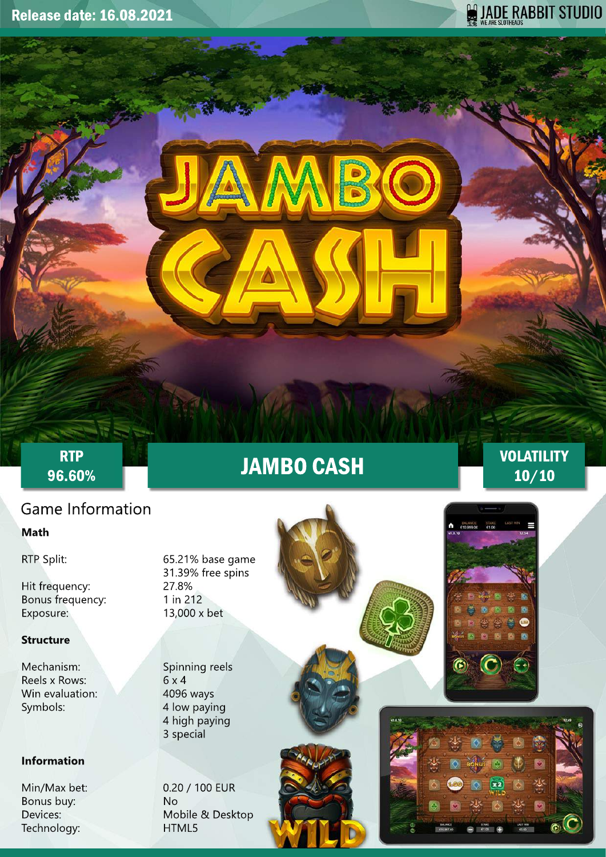**Release date: 16.08.2021** 

## JADE RABBIT STUDIO

# 96.60%

# RTP<br>e en% and **JAMBO CASH**

### VOLATILITY 10/10

 $_{\circ}$  (C

BALANCE STAKE

is.

 $\left($ 

 $0 - 0 = 0 = 0$ □ 要 要 ●

### Game Information

#### **Math**

**RTP Split:** 

Hit frequency: Bonus frequency: Exposure:

#### **Structure**

Mechanism: Reels x Rows: Win evaluation: Symbols:

#### **Information**

Min/Max bet: Bonus buy: Devices: Technology:

65.21% base game 31.39% free spins 27.8% 1in212 13,000 x bet

Spinning reels 6x4 4096 ways 4 low paying 4 high paying 3special

0.20/100EUR No Mobile & Desktop HTML5